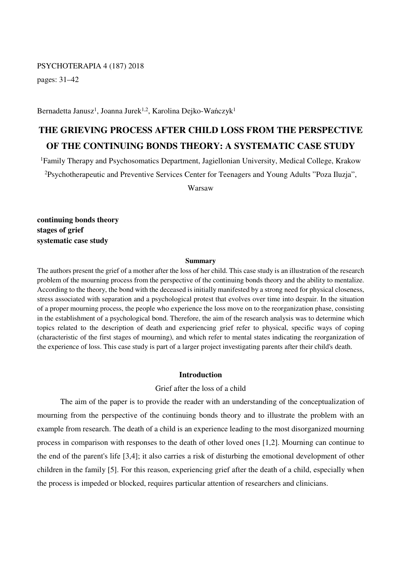# PSYCHOTERAPIA 4 (187) 2018

pages: 31–42

Bernadetta Janusz<sup>1</sup>, Joanna Jurek<sup>1,2</sup>, Karolina Dejko-Wańczyk<sup>1</sup>

# **THE GRIEVING PROCESS AFTER CHILD LOSS FROM THE PERSPECTIVE OF THE CONTINUING BONDS THEORY: A SYSTEMATIC CASE STUDY**

<sup>1</sup>Family Therapy and Psychosomatics Department, Jagiellonian University, Medical College, Krakow <sup>2</sup>Psychotherapeutic and Preventive Services Center for Teenagers and Young Adults "Poza Iluzja",

Warsaw

**continuing bonds theory stages of grief systematic case study** 

# **Summary**

The authors present the grief of a mother after the loss of her child. This case study is an illustration of the research problem of the mourning process from the perspective of the continuing bonds theory and the ability to mentalize. According to the theory, the bond with the deceased is initially manifested by a strong need for physical closeness, stress associated with separation and a psychological protest that evolves over time into despair. In the situation of a proper mourning process, the people who experience the loss move on to the reorganization phase, consisting in the establishment of a psychological bond. Therefore, the aim of the research analysis was to determine which topics related to the description of death and experiencing grief refer to physical, specific ways of coping (characteristic of the first stages of mourning), and which refer to mental states indicating the reorganization of the experience of loss. This case study is part of a larger project investigating parents after their child's death.

#### **Introduction**

# Grief after the loss of a child

The aim of the paper is to provide the reader with an understanding of the conceptualization of mourning from the perspective of the continuing bonds theory and to illustrate the problem with an example from research. The death of a child is an experience leading to the most disorganized mourning process in comparison with responses to the death of other loved ones [1,2]. Mourning can continue to the end of the parent's life [3,4]; it also carries a risk of disturbing the emotional development of other children in the family [5]. For this reason, experiencing grief after the death of a child, especially when the process is impeded or blocked, requires particular attention of researchers and clinicians.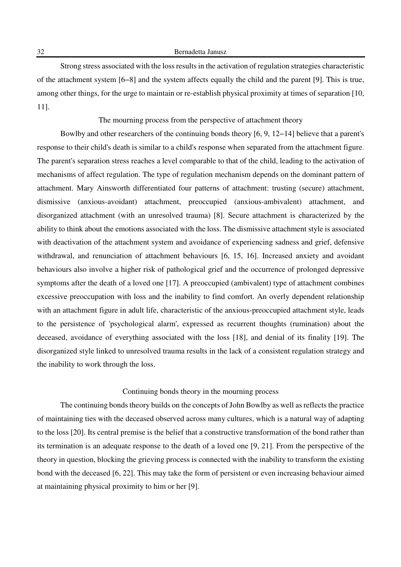32 Bernadetta Janusz

Strong stress associated with the loss results in the activation of regulation strategies characteristic of the attachment system [6−8] and the system affects equally the child and the parent [9]. This is true, among other things, for the urge to maintain or re-establish physical proximity at times of separation [10, 11].

The mourning process from the perspective of attachment theory

Bowlby and other researchers of the continuing bonds theory [6, 9, 12−14] believe that a parent's response to their child's death is similar to a child's response when separated from the attachment figure. The parent's separation stress reaches a level comparable to that of the child, leading to the activation of mechanisms of affect regulation. The type of regulation mechanism depends on the dominant pattern of attachment. Mary Ainsworth differentiated four patterns of attachment: trusting (secure) attachment, dismissive (anxious-avoidant) attachment, preoccupied (anxious-ambivalent) attachment, and disorganized attachment (with an unresolved trauma) [8]. Secure attachment is characterized by the ability to think about the emotions associated with the loss. The dismissive attachment style is associated with deactivation of the attachment system and avoidance of experiencing sadness and grief, defensive withdrawal, and renunciation of attachment behaviours [6, 15, 16]. Increased anxiety and avoidant behaviours also involve a higher risk of pathological grief and the occurrence of prolonged depressive symptoms after the death of a loved one [17]. A preoccupied (ambivalent) type of attachment combines excessive preoccupation with loss and the inability to find comfort. An overly dependent relationship with an attachment figure in adult life, characteristic of the anxious-preoccupied attachment style, leads to the persistence of 'psychological alarm', expressed as recurrent thoughts (rumination) about the deceased, avoidance of everything associated with the loss [18], and denial of its finality [19]. The disorganized style linked to unresolved trauma results in the lack of a consistent regulation strategy and the inability to work through the loss.

# Continuing bonds theory in the mourning process

The continuing bonds theory builds on the concepts of John Bowlby as well as reflects the practice of maintaining ties with the deceased observed across many cultures, which is a natural way of adapting to the loss [20]. Its central premise is the belief that a constructive transformation of the bond rather than its termination is an adequate response to the death of a loved one [9, 21]. From the perspective of the theory in question, blocking the grieving process is connected with the inability to transform the existing bond with the deceased [6, 22]. This may take the form of persistent or even increasing behaviour aimed at maintaining physical proximity to him or her [9].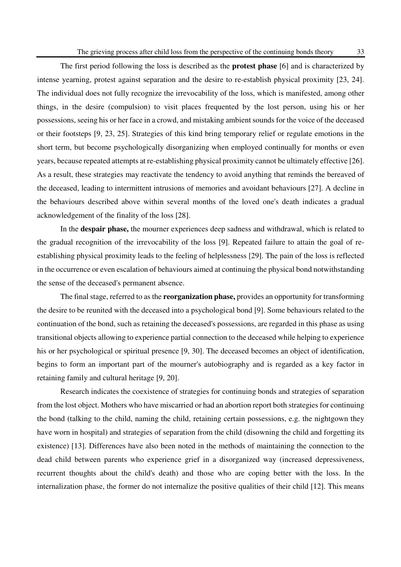The first period following the loss is described as the **protest phase** [6] and is characterized by intense yearning, protest against separation and the desire to re-establish physical proximity [23, 24]. The individual does not fully recognize the irrevocability of the loss, which is manifested, among other things, in the desire (compulsion) to visit places frequented by the lost person, using his or her possessions, seeing his or her face in a crowd, and mistaking ambient sounds for the voice of the deceased or their footsteps [9, 23, 25]. Strategies of this kind bring temporary relief or regulate emotions in the short term, but become psychologically disorganizing when employed continually for months or even years, because repeated attempts at re-establishing physical proximity cannot be ultimately effective [26]. As a result, these strategies may reactivate the tendency to avoid anything that reminds the bereaved of the deceased, leading to intermittent intrusions of memories and avoidant behaviours [27]. A decline in the behaviours described above within several months of the loved one's death indicates a gradual acknowledgement of the finality of the loss [28].

In the **despair phase,** the mourner experiences deep sadness and withdrawal, which is related to the gradual recognition of the irrevocability of the loss [9]. Repeated failure to attain the goal of reestablishing physical proximity leads to the feeling of helplessness [29]. The pain of the loss is reflected in the occurrence or even escalation of behaviours aimed at continuing the physical bond notwithstanding the sense of the deceased's permanent absence.

The final stage, referred to as the **reorganization phase,** provides an opportunity for transforming the desire to be reunited with the deceased into a psychological bond [9]. Some behaviours related to the continuation of the bond, such as retaining the deceased's possessions, are regarded in this phase as using transitional objects allowing to experience partial connection to the deceased while helping to experience his or her psychological or spiritual presence [9, 30]. The deceased becomes an object of identification, begins to form an important part of the mourner's autobiography and is regarded as a key factor in retaining family and cultural heritage [9, 20].

Research indicates the coexistence of strategies for continuing bonds and strategies of separation from the lost object. Mothers who have miscarried or had an abortion report both strategies for continuing the bond (talking to the child, naming the child, retaining certain possessions, e.g. the nightgown they have worn in hospital) and strategies of separation from the child (disowning the child and forgetting its existence) [13]. Differences have also been noted in the methods of maintaining the connection to the dead child between parents who experience grief in a disorganized way (increased depressiveness, recurrent thoughts about the child's death) and those who are coping better with the loss. In the internalization phase, the former do not internalize the positive qualities of their child [12]. This means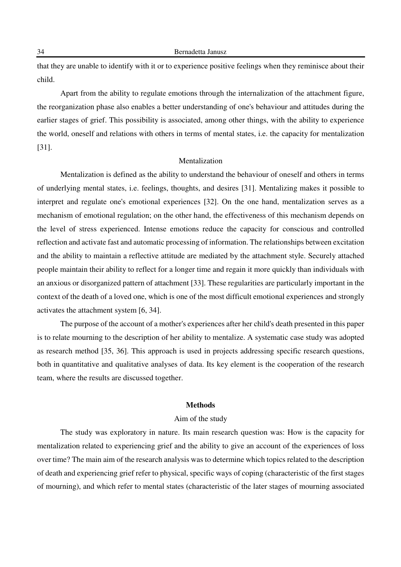that they are unable to identify with it or to experience positive feelings when they reminisce about their child.

Apart from the ability to regulate emotions through the internalization of the attachment figure, the reorganization phase also enables a better understanding of one's behaviour and attitudes during the earlier stages of grief. This possibility is associated, among other things, with the ability to experience the world, oneself and relations with others in terms of mental states, i.e. the capacity for mentalization [31].

# Mentalization

Mentalization is defined as the ability to understand the behaviour of oneself and others in terms of underlying mental states, i.e. feelings, thoughts, and desires [31]. Mentalizing makes it possible to interpret and regulate one's emotional experiences [32]. On the one hand, mentalization serves as a mechanism of emotional regulation; on the other hand, the effectiveness of this mechanism depends on the level of stress experienced. Intense emotions reduce the capacity for conscious and controlled reflection and activate fast and automatic processing of information. The relationships between excitation and the ability to maintain a reflective attitude are mediated by the attachment style. Securely attached people maintain their ability to reflect for a longer time and regain it more quickly than individuals with an anxious or disorganized pattern of attachment [33]. These regularities are particularly important in the context of the death of a loved one, which is one of the most difficult emotional experiences and strongly activates the attachment system [6, 34].

The purpose of the account of a mother's experiences after her child's death presented in this paper is to relate mourning to the description of her ability to mentalize. A systematic case study was adopted as research method [35, 36]. This approach is used in projects addressing specific research questions, both in quantitative and qualitative analyses of data. Its key element is the cooperation of the research team, where the results are discussed together.

#### **Methods**

# Aim of the study

The study was exploratory in nature. Its main research question was: How is the capacity for mentalization related to experiencing grief and the ability to give an account of the experiences of loss over time? The main aim of the research analysis was to determine which topics related to the description of death and experiencing grief refer to physical, specific ways of coping (characteristic of the first stages of mourning), and which refer to mental states (characteristic of the later stages of mourning associated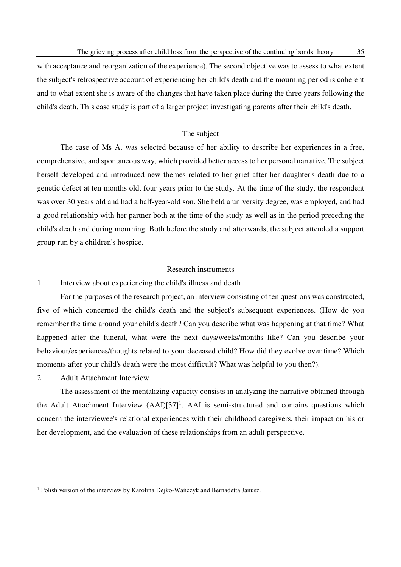with acceptance and reorganization of the experience). The second objective was to assess to what extent the subject's retrospective account of experiencing her child's death and the mourning period is coherent and to what extent she is aware of the changes that have taken place during the three years following the child's death. This case study is part of a larger project investigating parents after their child's death.

# The subject

The case of Ms A. was selected because of her ability to describe her experiences in a free, comprehensive, and spontaneous way, which provided better access to her personal narrative. The subject herself developed and introduced new themes related to her grief after her daughter's death due to a genetic defect at ten months old, four years prior to the study. At the time of the study, the respondent was over 30 years old and had a half-year-old son. She held a university degree, was employed, and had a good relationship with her partner both at the time of the study as well as in the period preceding the child's death and during mourning. Both before the study and afterwards, the subject attended a support group run by a children's hospice.

# Research instruments

# 1. Interview about experiencing the child's illness and death

For the purposes of the research project, an interview consisting of ten questions was constructed, five of which concerned the child's death and the subject's subsequent experiences. (How do you remember the time around your child's death? Can you describe what was happening at that time? What happened after the funeral, what were the next days/weeks/months like? Can you describe your behaviour/experiences/thoughts related to your deceased child? How did they evolve over time? Which moments after your child's death were the most difficult? What was helpful to you then?).

# 2. Adult Attachment Interview

The assessment of the mentalizing capacity consists in analyzing the narrative obtained through the Adult Attachment Interview (AAI)[37]<sup>1</sup>. AAI is semi-structured and contains questions which concern the interviewee's relational experiences with their childhood caregivers, their impact on his or her development, and the evaluation of these relationships from an adult perspective.

 1 Polish version of the interview by Karolina Dejko-Wańczyk and Bernadetta Janusz.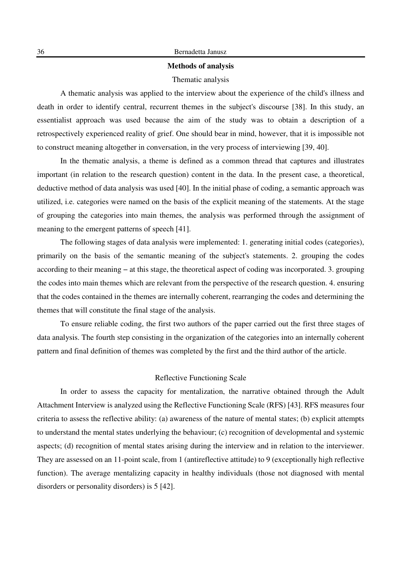# **Methods of analysis**

#### Thematic analysis

A thematic analysis was applied to the interview about the experience of the child's illness and death in order to identify central, recurrent themes in the subject's discourse [38]. In this study, an essentialist approach was used because the aim of the study was to obtain a description of a retrospectively experienced reality of grief. One should bear in mind, however, that it is impossible not to construct meaning altogether in conversation, in the very process of interviewing [39, 40].

In the thematic analysis, a theme is defined as a common thread that captures and illustrates important (in relation to the research question) content in the data. In the present case, a theoretical, deductive method of data analysis was used [40]. In the initial phase of coding, a semantic approach was utilized, i.e. categories were named on the basis of the explicit meaning of the statements. At the stage of grouping the categories into main themes, the analysis was performed through the assignment of meaning to the emergent patterns of speech [41].

The following stages of data analysis were implemented: 1. generating initial codes (categories), primarily on the basis of the semantic meaning of the subject's statements. 2. grouping the codes according to their meaning − at this stage, the theoretical aspect of coding was incorporated. 3. grouping the codes into main themes which are relevant from the perspective of the research question. 4. ensuring that the codes contained in the themes are internally coherent, rearranging the codes and determining the themes that will constitute the final stage of the analysis.

To ensure reliable coding, the first two authors of the paper carried out the first three stages of data analysis. The fourth step consisting in the organization of the categories into an internally coherent pattern and final definition of themes was completed by the first and the third author of the article.

#### Reflective Functioning Scale

In order to assess the capacity for mentalization, the narrative obtained through the Adult Attachment Interview is analyzed using the Reflective Functioning Scale (RFS) [43]. RFS measures four criteria to assess the reflective ability: (a) awareness of the nature of mental states; (b) explicit attempts to understand the mental states underlying the behaviour; (c) recognition of developmental and systemic aspects; (d) recognition of mental states arising during the interview and in relation to the interviewer. They are assessed on an 11-point scale, from 1 (antireflective attitude) to 9 (exceptionally high reflective function). The average mentalizing capacity in healthy individuals (those not diagnosed with mental disorders or personality disorders) is 5 [42].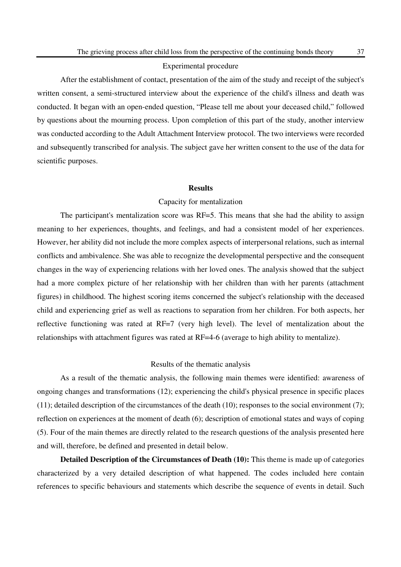# Experimental procedure

After the establishment of contact, presentation of the aim of the study and receipt of the subject's written consent, a semi-structured interview about the experience of the child's illness and death was conducted. It began with an open-ended question, "Please tell me about your deceased child," followed by questions about the mourning process. Upon completion of this part of the study, another interview was conducted according to the Adult Attachment Interview protocol. The two interviews were recorded and subsequently transcribed for analysis. The subject gave her written consent to the use of the data for scientific purposes.

#### **Results**

#### Capacity for mentalization

The participant's mentalization score was RF=5. This means that she had the ability to assign meaning to her experiences, thoughts, and feelings, and had a consistent model of her experiences. However, her ability did not include the more complex aspects of interpersonal relations, such as internal conflicts and ambivalence. She was able to recognize the developmental perspective and the consequent changes in the way of experiencing relations with her loved ones. The analysis showed that the subject had a more complex picture of her relationship with her children than with her parents (attachment figures) in childhood. The highest scoring items concerned the subject's relationship with the deceased child and experiencing grief as well as reactions to separation from her children. For both aspects, her reflective functioning was rated at RF=7 (very high level). The level of mentalization about the relationships with attachment figures was rated at RF=4-6 (average to high ability to mentalize).

## Results of the thematic analysis

As a result of the thematic analysis, the following main themes were identified: awareness of ongoing changes and transformations (12); experiencing the child's physical presence in specific places (11); detailed description of the circumstances of the death (10); responses to the social environment (7); reflection on experiences at the moment of death (6); description of emotional states and ways of coping (5). Four of the main themes are directly related to the research questions of the analysis presented here and will, therefore, be defined and presented in detail below.

**Detailed Description of the Circumstances of Death (10):** This theme is made up of categories characterized by a very detailed description of what happened. The codes included here contain references to specific behaviours and statements which describe the sequence of events in detail. Such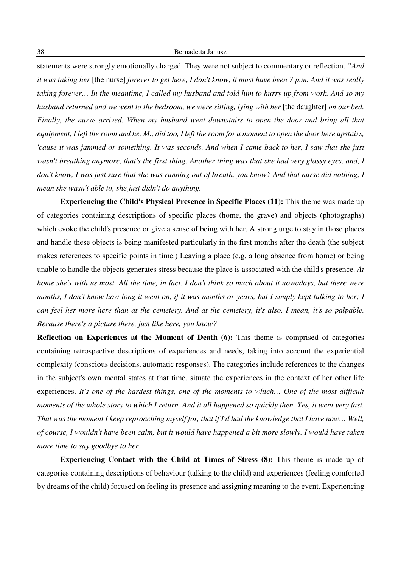statements were strongly emotionally charged. They were not subject to commentary or reflection. *"And it was taking her* [the nurse] *forever to get here, I don't know, it must have been 7 p.m. And it was really taking forever… In the meantime, I called my husband and told him to hurry up from work. And so my husband returned and we went to the bedroom, we were sitting, lying with her* [the daughter] *on our bed. Finally, the nurse arrived. When my husband went downstairs to open the door and bring all that equipment, I left the room and he, M., did too, I left the room for a moment to open the door here upstairs, 'cause it was jammed or something. It was seconds. And when I came back to her, I saw that she just wasn't breathing anymore, that's the first thing. Another thing was that she had very glassy eyes, and, I don't know, I was just sure that she was running out of breath, you know? And that nurse did nothing, I mean she wasn't able to, she just didn't do anything.* 

**Experiencing the Child's Physical Presence in Specific Places (11):** This theme was made up of categories containing descriptions of specific places (home, the grave) and objects (photographs) which evoke the child's presence or give a sense of being with her. A strong urge to stay in those places and handle these objects is being manifested particularly in the first months after the death (the subject makes references to specific points in time.) Leaving a place (e.g. a long absence from home) or being unable to handle the objects generates stress because the place is associated with the child's presence. *At home she's with us most. All the time, in fact. I don't think so much about it nowadays, but there were months, I don't know how long it went on, if it was months or years, but I simply kept talking to her; I can feel her more here than at the cemetery. And at the cemetery, it's also, I mean, it's so palpable. Because there's a picture there, just like here, you know?*

**Reflection on Experiences at the Moment of Death (6):** This theme is comprised of categories containing retrospective descriptions of experiences and needs, taking into account the experiential complexity (conscious decisions, automatic responses). The categories include references to the changes in the subject's own mental states at that time, situate the experiences in the context of her other life experiences. *It's one of the hardest things, one of the moments to which… One of the most difficult moments of the whole story to which I return. And it all happened so quickly then. Yes, it went very fast. That was the moment I keep reproaching myself for, that if I'd had the knowledge that I have now… Well, of course, I wouldn't have been calm, but it would have happened a bit more slowly. I would have taken more time to say goodbye to her.*

**Experiencing Contact with the Child at Times of Stress (8):** This theme is made up of categories containing descriptions of behaviour (talking to the child) and experiences (feeling comforted by dreams of the child) focused on feeling its presence and assigning meaning to the event. Experiencing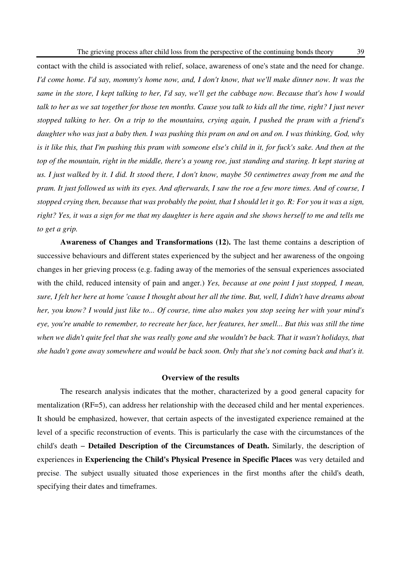contact with the child is associated with relief, solace, awareness of one's state and the need for change. *I'd come home. I'd say, mommy's home now, and, I don't know, that we'll make dinner now. It was the same in the store, I kept talking to her, I'd say, we'll get the cabbage now. Because that's how I would talk to her as we sat together for those ten months. Cause you talk to kids all the time, right? I just never stopped talking to her. On a trip to the mountains, crying again, I pushed the pram with a friend's daughter who was just a baby then. I was pushing this pram on and on and on. I was thinking, God, why is it like this, that I'm pushing this pram with someone else's child in it, for fuck's sake. And then at the top of the mountain, right in the middle, there's a young roe, just standing and staring. It kept staring at us. I just walked by it. I did. It stood there, I don't know, maybe 50 centimetres away from me and the pram. It just followed us with its eyes. And afterwards, I saw the roe a few more times. And of course, I stopped crying then, because that was probably the point, that I should let it go. R: For you it was a sign, right? Yes, it was a sign for me that my daughter is here again and she shows herself to me and tells me to get a grip.* 

**Awareness of Changes and Transformations (12).** The last theme contains a description of successive behaviours and different states experienced by the subject and her awareness of the ongoing changes in her grieving process (e.g. fading away of the memories of the sensual experiences associated with the child, reduced intensity of pain and anger.) *Yes, because at one point I just stopped, I mean, sure, I felt her here at home 'cause I thought about her all the time. But, well, I didn't have dreams about her, you know? I would just like to... Of course, time also makes you stop seeing her with your mind's eye, you're unable to remember, to recreate her face, her features, her smell... But this was still the time*  when we didn't quite feel that she was really gone and she wouldn't be back. That it wasn't holidays, that *she hadn't gone away somewhere and would be back soon. Only that she's not coming back and that's it.*

#### **Overview of the results**

The research analysis indicates that the mother, characterized by a good general capacity for mentalization (RF=5), can address her relationship with the deceased child and her mental experiences. It should be emphasized, however, that certain aspects of the investigated experience remained at the level of a specific reconstruction of events. This is particularly the case with the circumstances of the child's death − **Detailed Description of the Circumstances of Death.** Similarly, the description of experiences in **Experiencing the Child's Physical Presence in Specific Places** was very detailed and precise. The subject usually situated those experiences in the first months after the child's death, specifying their dates and timeframes.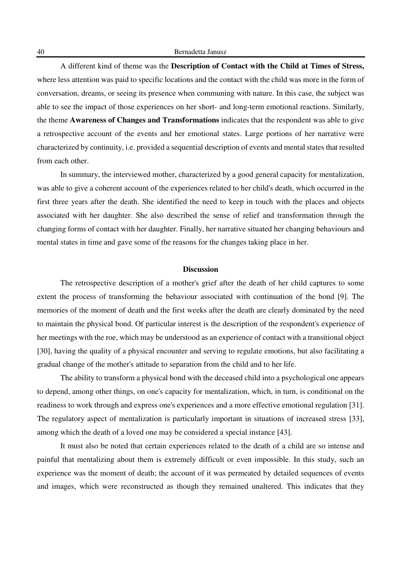A different kind of theme was the **Description of Contact with the Child at Times of Stress,** where less attention was paid to specific locations and the contact with the child was more in the form of conversation, dreams, or seeing its presence when communing with nature. In this case, the subject was able to see the impact of those experiences on her short- and long-term emotional reactions. Similarly, the theme **Awareness of Changes and Transformations** indicates that the respondent was able to give a retrospective account of the events and her emotional states. Large portions of her narrative were characterized by continuity, i.e. provided a sequential description of events and mental states that resulted from each other.

In summary, the interviewed mother, characterized by a good general capacity for mentalization, was able to give a coherent account of the experiences related to her child's death, which occurred in the first three years after the death. She identified the need to keep in touch with the places and objects associated with her daughter. She also described the sense of relief and transformation through the changing forms of contact with her daughter. Finally, her narrative situated her changing behaviours and mental states in time and gave some of the reasons for the changes taking place in her.

# **Discussion**

The retrospective description of a mother's grief after the death of her child captures to some extent the process of transforming the behaviour associated with continuation of the bond [9]. The memories of the moment of death and the first weeks after the death are clearly dominated by the need to maintain the physical bond. Of particular interest is the description of the respondent's experience of her meetings with the roe, which may be understood as an experience of contact with a transitional object [30], having the quality of a physical encounter and serving to regulate emotions, but also facilitating a gradual change of the mother's attitude to separation from the child and to her life.

The ability to transform a physical bond with the deceased child into a psychological one appears to depend, among other things, on one's capacity for mentalization, which, in turn, is conditional on the readiness to work through and express one's experiences and a more effective emotional regulation [31]. The regulatory aspect of mentalization is particularly important in situations of increased stress [33], among which the death of a loved one may be considered a special instance [43].

It must also be noted that certain experiences related to the death of a child are so intense and painful that mentalizing about them is extremely difficult or even impossible. In this study, such an experience was the moment of death; the account of it was permeated by detailed sequences of events and images, which were reconstructed as though they remained unaltered. This indicates that they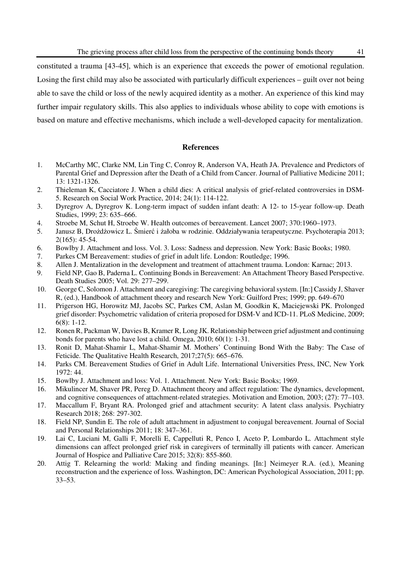constituted a trauma [43-45], which is an experience that exceeds the power of emotional regulation. Losing the first child may also be associated with particularly difficult experiences – guilt over not being able to save the child or loss of the newly acquired identity as a mother. An experience of this kind may further impair regulatory skills. This also applies to individuals whose ability to cope with emotions is based on mature and effective mechanisms, which include a well-developed capacity for mentalization.

# **References**

- 1. McCarthy MC, Clarke NM, Lin Ting C, Conroy R, Anderson VA, Heath JA. Prevalence and Predictors of Parental Grief and Depression after the Death of a Child from Cancer. Journal of Palliative Medicine 2011; 13: 1321-1326.
- 2. Thieleman K, Cacciatore J. When a child dies: A critical analysis of grief-related controversies in DSM-5. Research on Social Work Practice, 2014; 24(1): 114-122.
- 3. Dyregrov A, Dyregrov K. Long-term impact of sudden infant death: A 12- to 15-year follow-up. Death Studies, 1999; 23: 635–666.
- 4. Stroebe M, Schut H, Stroebe W. Health outcomes of bereavement. Lancet 2007; 370:1960–1973.
- 5. Janusz B, Drożdżowicz L. Śmierć i żałoba w rodzinie. Oddziaływania terapeutyczne. Psychoterapia 2013; 2(165): 45-54.
- 6. Bowlby J. Attachment and loss. Vol. 3. Loss: Sadness and depression. New York: Basic Books; 1980.
- 7. Parkes CM Bereavement: studies of grief in adult life. London: Routledge; 1996.
- 8. Allen J. Mentalization in the development and treatment of attachment trauma. London: Karnac; 2013.
- 9. Field NP, Gao B, Paderna L. Continuing Bonds in Bereavement: An Attachment Theory Based Perspective. Death Studies 2005; Vol. 29: 277–299.
- 10. George C, Solomon J. Attachment and caregiving: The caregiving behavioral system. [In:] Cassidy J, Shaver R, (ed.), Handbook of attachment theory and research New York: Guilford Pres; 1999; pp. 649–670
- 11. Prigerson HG, Horowitz MJ, Jacobs SC, Parkes CM, Aslan M, Goodkin K, Maciejewski PK. Prolonged grief disorder: Psychometric validation of criteria proposed for DSM-V and ICD-11. PLoS Medicine, 2009; 6(8): 1-12.
- 12. Ronen R, Packman W, Davies B, Kramer R, Long JK. Relationship between grief adjustment and continuing bonds for parents who have lost a child. Omega, 2010; 60(1): 1-31.
- 13. Ronit D, Mahat-Shamir L, Mahat-Shamir M. Mothers' Continuing Bond With the Baby: The Case of Feticide. The Qualitative Health Research, 2017;27(5): 665–676.
- 14. Parks CM. Bereavement Studies of Grief in Adult Life. International Universities Press, INC, New York 1972: 44.
- 15. Bowlby J. Attachment and loss: Vol. 1. Attachment. New York: Basic Books; 1969.
- 16. Mikulincer M, Shaver PR, Pereg D. Attachment theory and affect regulation: The dynamics, development, and cognitive consequences of attachment-related strategies. Motivation and Emotion, 2003; (27): 77–103.
- 17. Maccallum F, Bryant RA. Prolonged grief and attachment security: A latent class analysis. Psychiatry Research 2018; 268: 297-302.
- 18. Field NP, Sundin E. The role of adult attachment in adjustment to conjugal bereavement. Journal of Social and Personal Relationships 2011; 18: 347–361.
- 19. Lai C, Luciani M, Galli F, Morelli E, Cappelluti R, Penco I, Aceto P, Lombardo L. Attachment style dimensions can affect prolonged grief risk in caregivers of terminally ill patients with cancer. American Journal of Hospice and Palliative Care 2015; 32(8): 855-860.
- 20. Attig T. Relearning the world: Making and finding meanings. [In:] Neimeyer R.A. (ed.), Meaning reconstruction and the experience of loss. Washington, DC: American Psychological Association, 2011; pp. 33–53.